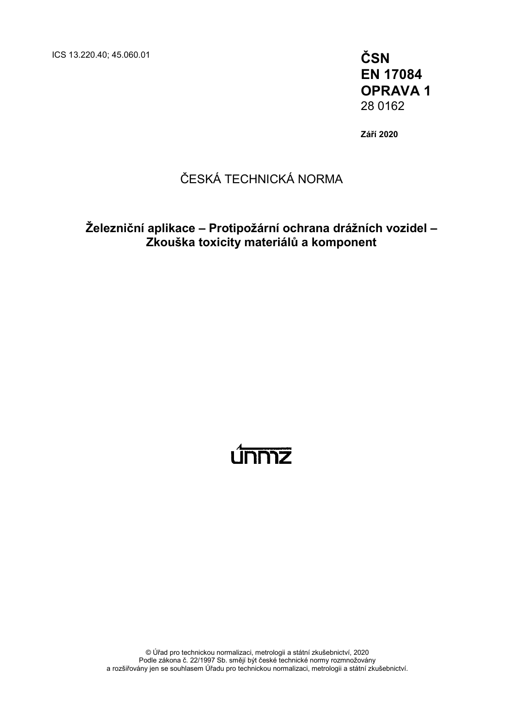ICS 13.220.40; 45.060.01 **ČSN**

**EN 17084 OPRAVA 1** 28 0162

**Září 2020**

## ČESKÁ TECHNICKÁ NORMA

**Železniční aplikace – Protipožární ochrana drážních vozidel – Zkouška toxicity materiálů a komponent**

# <u>únniz</u>

© Úřad pro technickou normalizaci, metrologii a státní zkušebnictví, 2020 Podle zákona č. 22/1997 Sb. smějí být české technické normy rozmnožovány a rozšiřovány jen se souhlasem Úřadu pro technickou normalizaci, metrologii a státní zkušebnictví.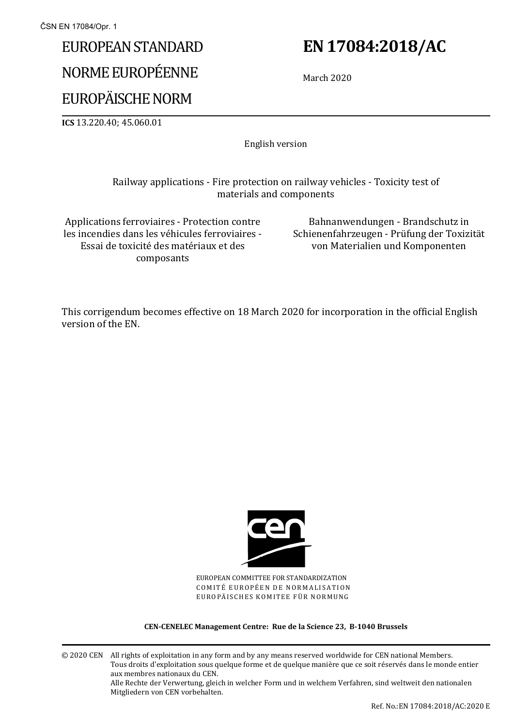# EUROPEAN STANDARD

# NORME EUROPÉENNE

# EUROPÄISCHE NORM

**ICS** 13.220.40; 45.060.01

English version

### Railway applications - Fire protection on railway vehicles - Toxicity test of materials and components

Applications ferroviaires - Protection contre les incendies dans les véhicules ferroviaires - Essai de toxicité des matériaux et des composants

Bahnanwendungen - Brandschutz in Schienenfahrzeugen - Prüfung der Toxizität von Materialien und Komponenten

This corrigendum becomes effective on 18 March 2020 for incorporation in the official English version of the EN.



EUROPEAN COMMITTEE FOR STANDARDIZATION COMITÉ EUROPÉEN DE NORMALISATION EUROPÄISCHES KOMITEE FÜR NORMUNG

#### **CEN-CENELEC Management Centre: Rue de la Science 23, B-1040 Brussels**

© 2020 CEN All rights of exploitation in any form and by any means reserved worldwide for CEN national Members. Tous droits d'exploitation sous quelque forme et de quelque manière que ce soit réservés dans le monde entier aux membres nationaux du CEN. Alle Rechte der Verwertung, gleich in welcher Form und in welchem Verfahren, sind weltweit den nationalen Mitgliedern von CEN vorbehalten.

# **EN 17084:2018/AC**

March 2020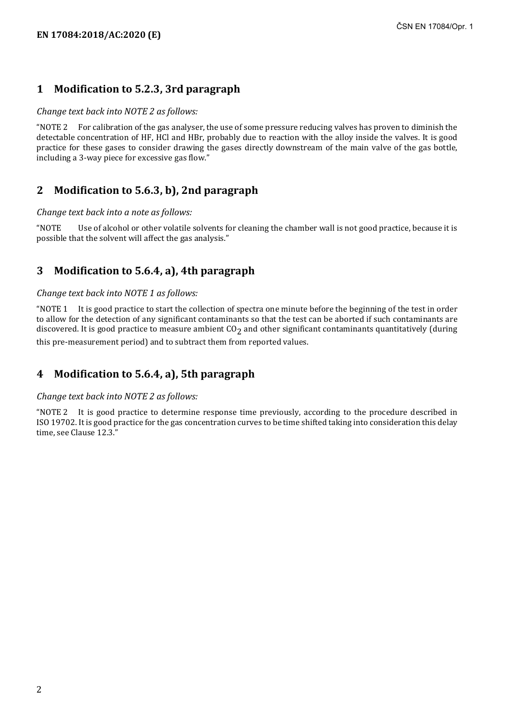## **1 Modification to 5.2.3, 3rd paragraph**

#### *Change text back into NOTE 2 as follows:*

"NOTE 2 For calibration of the gas analyser, the use of some pressure reducing valves has proven to diminish the detectable concentration of HF, HCl and HBr, probably due to reaction with the alloy inside the valves. It is good practice for these gases to consider drawing the gases directly downstream of the main valve of the gas bottle, including a 3-way piece for excessive gas flow."

## **2 Modification to 5.6.3, b), 2nd paragraph**

#### *Change text back into a note as follows:*

"NOTE Use of alcohol or other volatile solvents for cleaning the chamber wall is not good practice, because it is possible that the solvent will affect the gas analysis."

## **3 Modification to 5.6.4, a), 4th paragraph**

#### *Change text back into NOTE 1 as follows:*

"NOTE 1 It is good practice to start the collection of spectra one minute before the beginning of the test in order to allow for the detection of any significant contaminants so that the test can be aborted if such contaminants are discovered. It is good practice to measure ambient  $C_2$  and other significant contaminants quantitatively (during this pre-measurement period) and to subtract them from reported values.

### **4 Modification to 5.6.4, a), 5th paragraph**

#### *Change text back into NOTE 2 as follows:*

"NOTE 2 It is good practice to determine response time previously, according to the procedure described in ISO 19702. It is good practice for the gas concentration curves to be time shifted taking into consideration this delay time, see Clause 12.3."